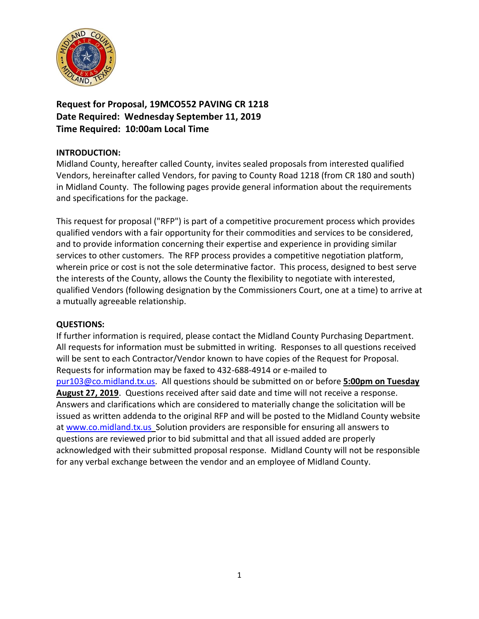

**Request for Proposal, 19MCO552 PAVING CR 1218 Date Required: Wednesday September 11, 2019 Time Required: 10:00am Local Time**

### **INTRODUCTION:**

Midland County, hereafter called County, invites sealed proposals from interested qualified Vendors, hereinafter called Vendors, for paving to County Road 1218 (from CR 180 and south) in Midland County. The following pages provide general information about the requirements and specifications for the package.

This request for proposal ("RFP") is part of a competitive procurement process which provides qualified vendors with a fair opportunity for their commodities and services to be considered, and to provide information concerning their expertise and experience in providing similar services to other customers. The RFP process provides a competitive negotiation platform, wherein price or cost is not the sole determinative factor. This process, designed to best serve the interests of the County, allows the County the flexibility to negotiate with interested, qualified Vendors (following designation by the Commissioners Court, one at a time) to arrive at a mutually agreeable relationship.

### **QUESTIONS:**

If further information is required, please contact the Midland County Purchasing Department. All requests for information must be submitted in writing. Responses to all questions received will be sent to each Contractor/Vendor known to have copies of the Request for Proposal. Requests for information may be faxed to 432-688-4914 or e-mailed to [pur103@co.midland.tx.us.](mailto:pur103@co.midland.tx.us) All questions should be submitted on or before **5:00pm on Tuesday August 27, 2019**. Questions received after said date and time will not receive a response. Answers and clarifications which are considered to materially change the solicitation will be issued as written addenda to the original RFP and will be posted to the Midland County website at [www.co.midland.tx.us](http://www.co.midland.tx.us/) Solution providers are responsible for ensuring all answers to questions are reviewed prior to bid submittal and that all issued added are properly acknowledged with their submitted proposal response. Midland County will not be responsible for any verbal exchange between the vendor and an employee of Midland County.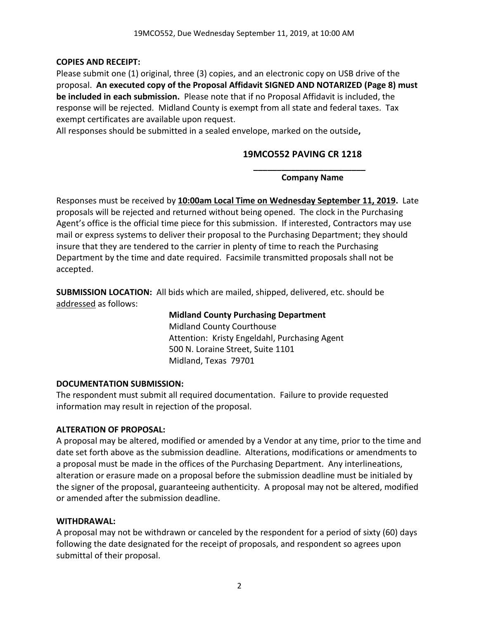## **COPIES AND RECEIPT:**

Please submit one (1) original, three (3) copies, and an electronic copy on USB drive of the proposal. **An executed copy of the Proposal Affidavit SIGNED AND NOTARIZED (Page 8) must be included in each submission.** Please note that if no Proposal Affidavit is included, the response will be rejected. Midland County is exempt from all state and federal taxes. Tax exempt certificates are available upon request.

All responses should be submitted in a sealed envelope, marked on the outside**,** 

# **19MCO552 PAVING CR 1218**

**\_\_\_\_\_\_\_\_\_\_\_\_\_\_\_\_\_\_\_\_\_\_\_\_ Company Name**

Responses must be received by **10:00am Local Time on Wednesday September 11, 2019.** Late proposals will be rejected and returned without being opened. The clock in the Purchasing Agent's office is the official time piece for this submission. If interested, Contractors may use mail or express systems to deliver their proposal to the Purchasing Department; they should insure that they are tendered to the carrier in plenty of time to reach the Purchasing Department by the time and date required. Facsimile transmitted proposals shall not be accepted.

**SUBMISSION LOCATION:** All bids which are mailed, shipped, delivered, etc. should be addressed as follows:

> **Midland County Purchasing Department** Midland County Courthouse Attention: Kristy Engeldahl, Purchasing Agent 500 N. Loraine Street, Suite 1101 Midland, Texas 79701

### **DOCUMENTATION SUBMISSION:**

The respondent must submit all required documentation. Failure to provide requested information may result in rejection of the proposal.

# **ALTERATION OF PROPOSAL:**

A proposal may be altered, modified or amended by a Vendor at any time, prior to the time and date set forth above as the submission deadline. Alterations, modifications or amendments to a proposal must be made in the offices of the Purchasing Department. Any interlineations, alteration or erasure made on a proposal before the submission deadline must be initialed by the signer of the proposal, guaranteeing authenticity. A proposal may not be altered, modified or amended after the submission deadline.

### **WITHDRAWAL:**

A proposal may not be withdrawn or canceled by the respondent for a period of sixty (60) days following the date designated for the receipt of proposals, and respondent so agrees upon submittal of their proposal.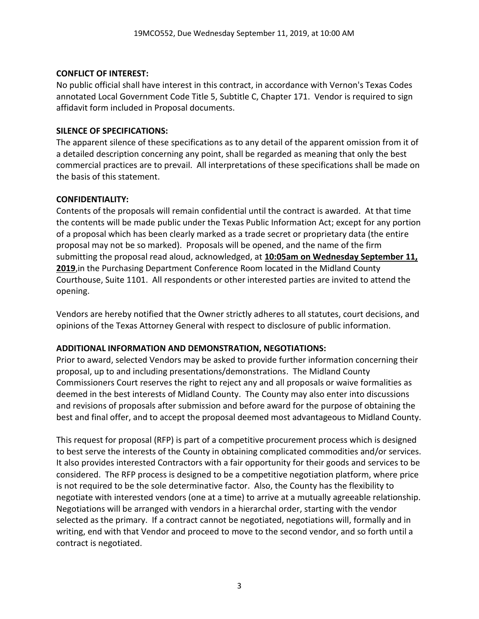#### **CONFLICT OF INTEREST:**

No public official shall have interest in this contract, in accordance with Vernon's Texas Codes annotated Local Government Code Title 5, Subtitle C, Chapter 171. Vendor is required to sign affidavit form included in Proposal documents.

### **SILENCE OF SPECIFICATIONS:**

The apparent silence of these specifications as to any detail of the apparent omission from it of a detailed description concerning any point, shall be regarded as meaning that only the best commercial practices are to prevail. All interpretations of these specifications shall be made on the basis of this statement.

#### **CONFIDENTIALITY:**

Contents of the proposals will remain confidential until the contract is awarded. At that time the contents will be made public under the Texas Public Information Act; except for any portion of a proposal which has been clearly marked as a trade secret or proprietary data (the entire proposal may not be so marked). Proposals will be opened, and the name of the firm submitting the proposal read aloud, acknowledged, at **10:05am on Wednesday September 11, 2019**,in the Purchasing Department Conference Room located in the Midland County Courthouse, Suite 1101. All respondents or other interested parties are invited to attend the opening.

Vendors are hereby notified that the Owner strictly adheres to all statutes, court decisions, and opinions of the Texas Attorney General with respect to disclosure of public information.

### **ADDITIONAL INFORMATION AND DEMONSTRATION, NEGOTIATIONS:**

Prior to award, selected Vendors may be asked to provide further information concerning their proposal, up to and including presentations/demonstrations. The Midland County Commissioners Court reserves the right to reject any and all proposals or waive formalities as deemed in the best interests of Midland County. The County may also enter into discussions and revisions of proposals after submission and before award for the purpose of obtaining the best and final offer, and to accept the proposal deemed most advantageous to Midland County.

This request for proposal (RFP) is part of a competitive procurement process which is designed to best serve the interests of the County in obtaining complicated commodities and/or services. It also provides interested Contractors with a fair opportunity for their goods and services to be considered. The RFP process is designed to be a competitive negotiation platform, where price is not required to be the sole determinative factor. Also, the County has the flexibility to negotiate with interested vendors (one at a time) to arrive at a mutually agreeable relationship. Negotiations will be arranged with vendors in a hierarchal order, starting with the vendor selected as the primary. If a contract cannot be negotiated, negotiations will, formally and in writing, end with that Vendor and proceed to move to the second vendor, and so forth until a contract is negotiated.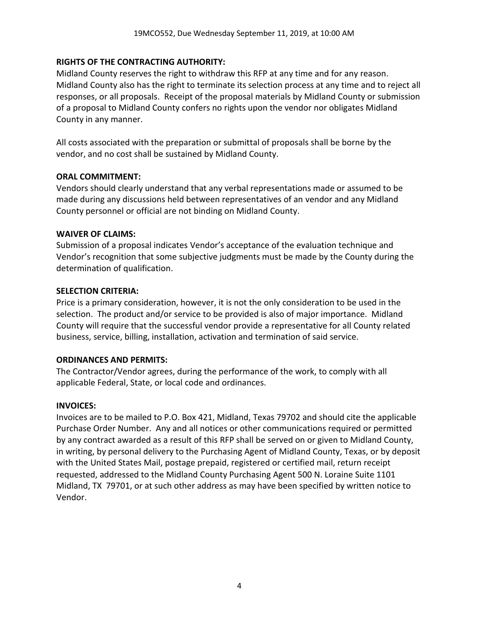#### **RIGHTS OF THE CONTRACTING AUTHORITY:**

Midland County reserves the right to withdraw this RFP at any time and for any reason. Midland County also has the right to terminate its selection process at any time and to reject all responses, or all proposals. Receipt of the proposal materials by Midland County or submission of a proposal to Midland County confers no rights upon the vendor nor obligates Midland County in any manner.

All costs associated with the preparation or submittal of proposals shall be borne by the vendor, and no cost shall be sustained by Midland County.

#### **ORAL COMMITMENT:**

Vendors should clearly understand that any verbal representations made or assumed to be made during any discussions held between representatives of an vendor and any Midland County personnel or official are not binding on Midland County.

#### **WAIVER OF CLAIMS:**

Submission of a proposal indicates Vendor's acceptance of the evaluation technique and Vendor's recognition that some subjective judgments must be made by the County during the determination of qualification.

#### **SELECTION CRITERIA:**

Price is a primary consideration, however, it is not the only consideration to be used in the selection. The product and/or service to be provided is also of major importance. Midland County will require that the successful vendor provide a representative for all County related business, service, billing, installation, activation and termination of said service.

#### **ORDINANCES AND PERMITS:**

The Contractor/Vendor agrees, during the performance of the work, to comply with all applicable Federal, State, or local code and ordinances.

#### **INVOICES:**

Invoices are to be mailed to P.O. Box 421, Midland, Texas 79702 and should cite the applicable Purchase Order Number. Any and all notices or other communications required or permitted by any contract awarded as a result of this RFP shall be served on or given to Midland County, in writing, by personal delivery to the Purchasing Agent of Midland County, Texas, or by deposit with the United States Mail, postage prepaid, registered or certified mail, return receipt requested, addressed to the Midland County Purchasing Agent 500 N. Loraine Suite 1101 Midland, TX 79701, or at such other address as may have been specified by written notice to Vendor.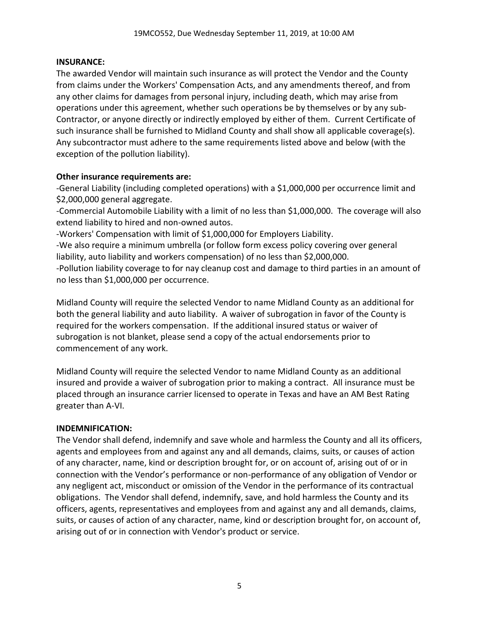#### **INSURANCE:**

The awarded Vendor will maintain such insurance as will protect the Vendor and the County from claims under the Workers' Compensation Acts, and any amendments thereof, and from any other claims for damages from personal injury, including death, which may arise from operations under this agreement, whether such operations be by themselves or by any sub-Contractor, or anyone directly or indirectly employed by either of them. Current Certificate of such insurance shall be furnished to Midland County and shall show all applicable coverage(s). Any subcontractor must adhere to the same requirements listed above and below (with the exception of the pollution liability).

#### **Other insurance requirements are:**

-General Liability (including completed operations) with a \$1,000,000 per occurrence limit and \$2,000,000 general aggregate.

-Commercial Automobile Liability with a limit of no less than \$1,000,000. The coverage will also extend liability to hired and non-owned autos.

-Workers' Compensation with limit of \$1,000,000 for Employers Liability.

-We also require a minimum umbrella (or follow form excess policy covering over general liability, auto liability and workers compensation) of no less than \$2,000,000.

-Pollution liability coverage to for nay cleanup cost and damage to third parties in an amount of no less than \$1,000,000 per occurrence.

Midland County will require the selected Vendor to name Midland County as an additional for both the general liability and auto liability. A waiver of subrogation in favor of the County is required for the workers compensation. If the additional insured status or waiver of subrogation is not blanket, please send a copy of the actual endorsements prior to commencement of any work.

Midland County will require the selected Vendor to name Midland County as an additional insured and provide a waiver of subrogation prior to making a contract. All insurance must be placed through an insurance carrier licensed to operate in Texas and have an AM Best Rating greater than A-VI.

### **INDEMNIFICATION:**

The Vendor shall defend, indemnify and save whole and harmless the County and all its officers, agents and employees from and against any and all demands, claims, suits, or causes of action of any character, name, kind or description brought for, or on account of, arising out of or in connection with the Vendor's performance or non-performance of any obligation of Vendor or any negligent act, misconduct or omission of the Vendor in the performance of its contractual obligations. The Vendor shall defend, indemnify, save, and hold harmless the County and its officers, agents, representatives and employees from and against any and all demands, claims, suits, or causes of action of any character, name, kind or description brought for, on account of, arising out of or in connection with Vendor's product or service.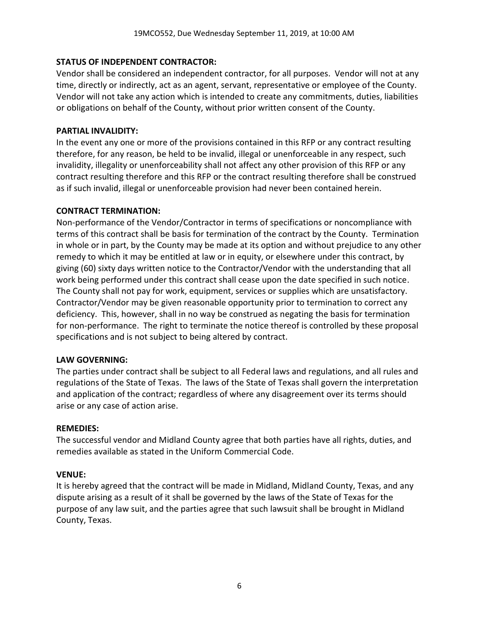#### **STATUS OF INDEPENDENT CONTRACTOR:**

Vendor shall be considered an independent contractor, for all purposes. Vendor will not at any time, directly or indirectly, act as an agent, servant, representative or employee of the County. Vendor will not take any action which is intended to create any commitments, duties, liabilities or obligations on behalf of the County, without prior written consent of the County.

#### **PARTIAL INVALIDITY:**

In the event any one or more of the provisions contained in this RFP or any contract resulting therefore, for any reason, be held to be invalid, illegal or unenforceable in any respect, such invalidity, illegality or unenforceability shall not affect any other provision of this RFP or any contract resulting therefore and this RFP or the contract resulting therefore shall be construed as if such invalid, illegal or unenforceable provision had never been contained herein.

#### **CONTRACT TERMINATION:**

Non-performance of the Vendor/Contractor in terms of specifications or noncompliance with terms of this contract shall be basis for termination of the contract by the County. Termination in whole or in part, by the County may be made at its option and without prejudice to any other remedy to which it may be entitled at law or in equity, or elsewhere under this contract, by giving (60) sixty days written notice to the Contractor/Vendor with the understanding that all work being performed under this contract shall cease upon the date specified in such notice. The County shall not pay for work, equipment, services or supplies which are unsatisfactory. Contractor/Vendor may be given reasonable opportunity prior to termination to correct any deficiency. This, however, shall in no way be construed as negating the basis for termination for non-performance. The right to terminate the notice thereof is controlled by these proposal specifications and is not subject to being altered by contract.

### **LAW GOVERNING:**

The parties under contract shall be subject to all Federal laws and regulations, and all rules and regulations of the State of Texas. The laws of the State of Texas shall govern the interpretation and application of the contract; regardless of where any disagreement over its terms should arise or any case of action arise.

#### **REMEDIES:**

The successful vendor and Midland County agree that both parties have all rights, duties, and remedies available as stated in the Uniform Commercial Code.

#### **VENUE:**

It is hereby agreed that the contract will be made in Midland, Midland County, Texas, and any dispute arising as a result of it shall be governed by the laws of the State of Texas for the purpose of any law suit, and the parties agree that such lawsuit shall be brought in Midland County, Texas.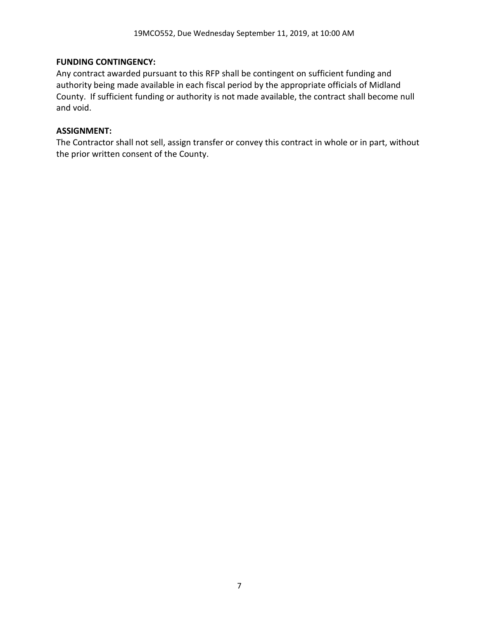#### **FUNDING CONTINGENCY:**

Any contract awarded pursuant to this RFP shall be contingent on sufficient funding and authority being made available in each fiscal period by the appropriate officials of Midland County. If sufficient funding or authority is not made available, the contract shall become null and void.

#### **ASSIGNMENT:**

The Contractor shall not sell, assign transfer or convey this contract in whole or in part, without the prior written consent of the County.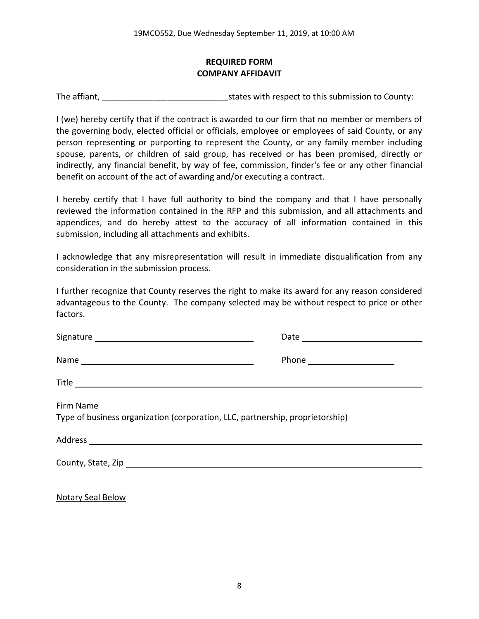### **REQUIRED FORM COMPANY AFFIDAVIT**

The affiant, The affiant, The affiant,  $\frac{1}{2}$  states with respect to this submission to County:

I (we) hereby certify that if the contract is awarded to our firm that no member or members of the governing body, elected official or officials, employee or employees of said County, or any person representing or purporting to represent the County, or any family member including spouse, parents, or children of said group, has received or has been promised, directly or indirectly, any financial benefit, by way of fee, commission, finder's fee or any other financial benefit on account of the act of awarding and/or executing a contract.

I hereby certify that I have full authority to bind the company and that I have personally reviewed the information contained in the RFP and this submission, and all attachments and appendices, and do hereby attest to the accuracy of all information contained in this submission, including all attachments and exhibits.

I acknowledge that any misrepresentation will result in immediate disqualification from any consideration in the submission process.

I further recognize that County reserves the right to make its award for any reason considered advantageous to the County. The company selected may be without respect to price or other factors.

| Type of business organization (corporation, LLC, partnership, proprietorship) |  |
|-------------------------------------------------------------------------------|--|
|                                                                               |  |
|                                                                               |  |
|                                                                               |  |

Notary Seal Below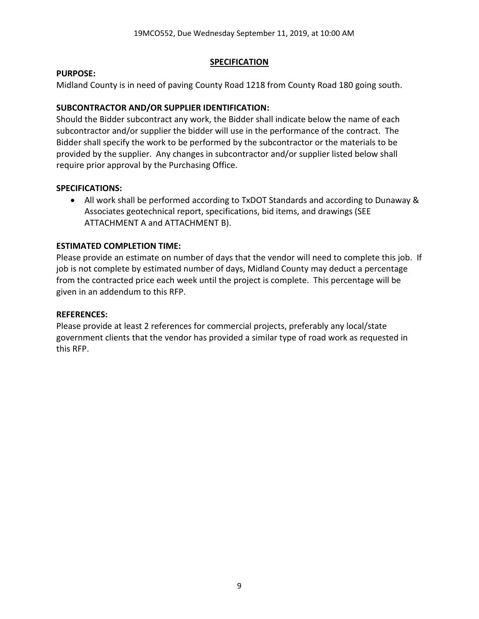#### **SPECIFICATION**

#### **PURPOSE:**

Midland County is in need of paving County Road 1218 from County Road 180 going south.

# **SUBCONTRACTOR AND/OR SUPPLIER IDENTIFICATION:**

Should the Bidder subcontract any work, the Bidder shall indicate below the name of each subcontractor and/or supplier the bidder will use in the performance of the contract. The Bidder shall specify the work to be performed by the subcontractor or the materials to be provided by the supplier. Any changes in subcontractor and/or supplier listed below shall require prior approval by the Purchasing Office.

### **SPECIFICATIONS:**

• All work shall be performed according to TxDOT Standards and according to Dunaway & Associates geotechnical report, specifications, bid items, and drawings (SEE ATTACHMENT A and ATTACHMENT B).

# **ESTIMATED COMPLETION TIME:**

Please provide an estimate on number of days that the vendor will need to complete this job. If job is not complete by estimated number of days, Midland County may deduct a percentage from the contracted price each week until the project is complete. This percentage will be given in an addendum to this RFP.

### **REFERENCES:**

Please provide at least 2 references for commercial projects, preferably any local/state government clients that the vendor has provided a similar type of road work as requested in this RFP.